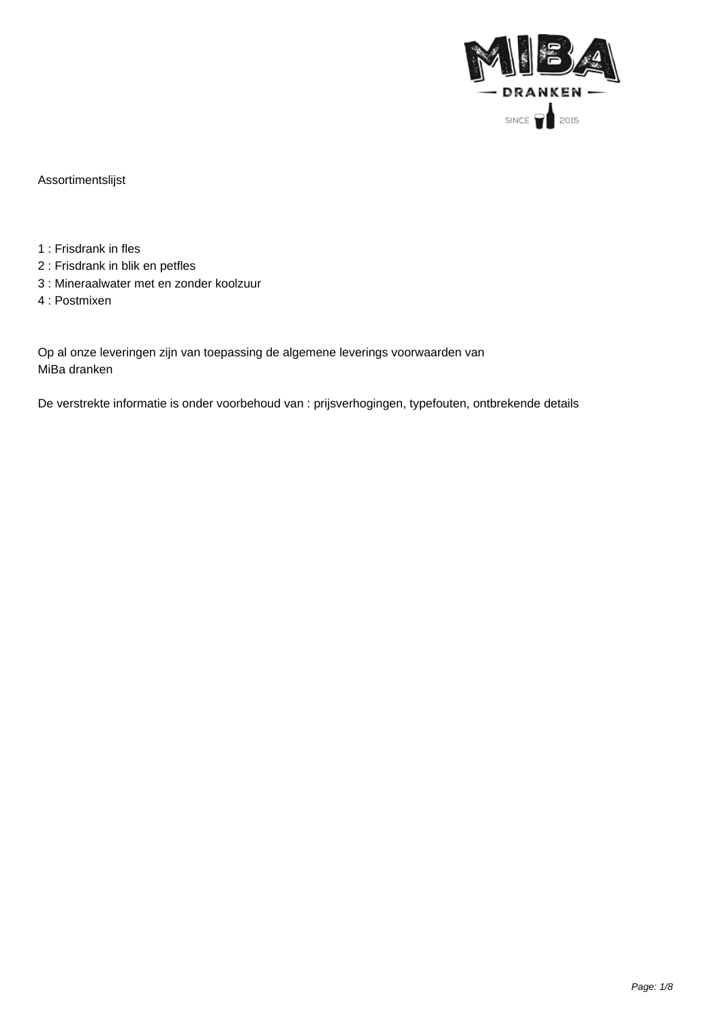

Assortimentslijst

- 1 : Frisdrank in fles
- 2 : Frisdrank in blik en petfles
- 3 : Mineraalwater met en zonder koolzuur
- 4 : Postmixen

Op al onze leveringen zijn van toepassing de algemene leverings voorwaarden van MiBa dranken

De verstrekte informatie is onder voorbehoud van : prijsverhogingen, typefouten, ontbrekende details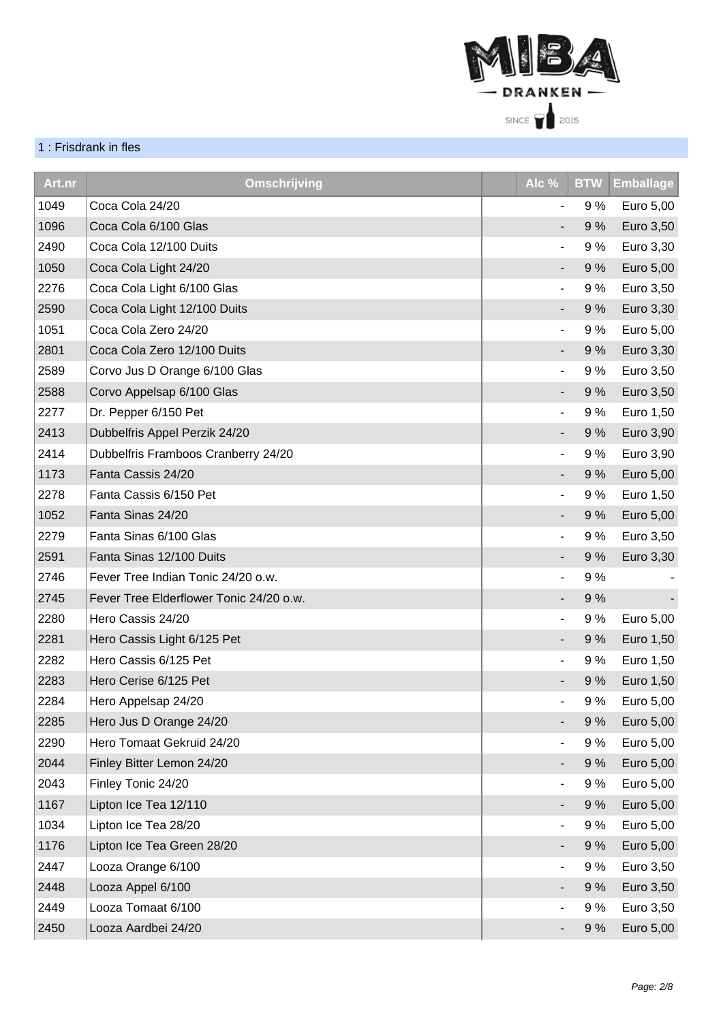

## 1 : Frisdrank in fles

| Art.nr | <b>Omschrijving</b>                     | Alc $\frac{9}{6}$        | <b>BTW</b> | <b>Emballage</b> |
|--------|-----------------------------------------|--------------------------|------------|------------------|
| 1049   | Coca Cola 24/20                         | ۰                        | 9 %        | Euro 5,00        |
| 1096   | Coca Cola 6/100 Glas                    |                          | 9%         | Euro 3,50        |
| 2490   | Coca Cola 12/100 Duits                  |                          | 9%         | Euro 3,30        |
| 1050   | Coca Cola Light 24/20                   | ۰                        | 9%         | Euro 5,00        |
| 2276   | Coca Cola Light 6/100 Glas              | $\overline{\phantom{a}}$ | 9%         | Euro 3,50        |
| 2590   | Coca Cola Light 12/100 Duits            | ٠                        | 9%         | Euro 3,30        |
| 1051   | Coca Cola Zero 24/20                    |                          | 9%         | Euro 5,00        |
| 2801   | Coca Cola Zero 12/100 Duits             |                          | 9%         | Euro 3,30        |
| 2589   | Corvo Jus D Orange 6/100 Glas           | $\overline{\phantom{a}}$ | 9%         | Euro 3,50        |
| 2588   | Corvo Appelsap 6/100 Glas               | ٠                        | 9%         | Euro 3,50        |
| 2277   | Dr. Pepper 6/150 Pet                    |                          | 9%         | Euro 1,50        |
| 2413   | Dubbelfris Appel Perzik 24/20           |                          | 9%         | Euro 3,90        |
| 2414   | Dubbelfris Framboos Cranberry 24/20     |                          | 9%         | Euro 3,90        |
| 1173   | Fanta Cassis 24/20                      |                          | 9%         | Euro 5,00        |
| 2278   | Fanta Cassis 6/150 Pet                  |                          | 9%         | Euro 1,50        |
| 1052   | Fanta Sinas 24/20                       | ٠                        | 9%         | Euro 5,00        |
| 2279   | Fanta Sinas 6/100 Glas                  | $\overline{\phantom{0}}$ | 9%         | Euro 3,50        |
| 2591   | Fanta Sinas 12/100 Duits                |                          | 9%         | Euro 3,30        |
| 2746   | Fever Tree Indian Tonic 24/20 o.w.      | ٠                        | 9%         |                  |
| 2745   | Fever Tree Elderflower Tonic 24/20 o.w. |                          | 9%         |                  |
| 2280   | Hero Cassis 24/20                       | $\overline{\phantom{a}}$ | 9%         | Euro 5,00        |
| 2281   | Hero Cassis Light 6/125 Pet             |                          | 9%         | Euro 1,50        |
| 2282   | Hero Cassis 6/125 Pet                   | $\overline{\phantom{a}}$ | 9 %        | Euro 1,50        |
| 2283   | Hero Cerise 6/125 Pet                   |                          | 9%         | Euro 1,50        |
| 2284   | Hero Appelsap 24/20                     |                          | 9%         | Euro 5,00        |
| 2285   | Hero Jus D Orange 24/20                 |                          | 9%         | Euro 5,00        |
| 2290   | Hero Tomaat Gekruid 24/20               |                          | 9%         | Euro 5,00        |
| 2044   | Finley Bitter Lemon 24/20               |                          | 9%         | Euro 5,00        |
| 2043   | Finley Tonic 24/20                      | ۰                        | 9%         | Euro 5,00        |
| 1167   | Lipton Ice Tea 12/110                   |                          | 9%         | Euro 5,00        |
| 1034   | Lipton Ice Tea 28/20                    |                          | 9 %        | Euro 5,00        |
| 1176   | Lipton Ice Tea Green 28/20              |                          | 9%         | Euro 5,00        |
| 2447   | Looza Orange 6/100                      |                          | 9%         | Euro 3,50        |
| 2448   | Looza Appel 6/100                       |                          | 9%         | Euro 3,50        |
| 2449   | Looza Tomaat 6/100                      |                          | 9%         | Euro 3,50        |
| 2450   | Looza Aardbei 24/20                     |                          | 9%         | Euro 5,00        |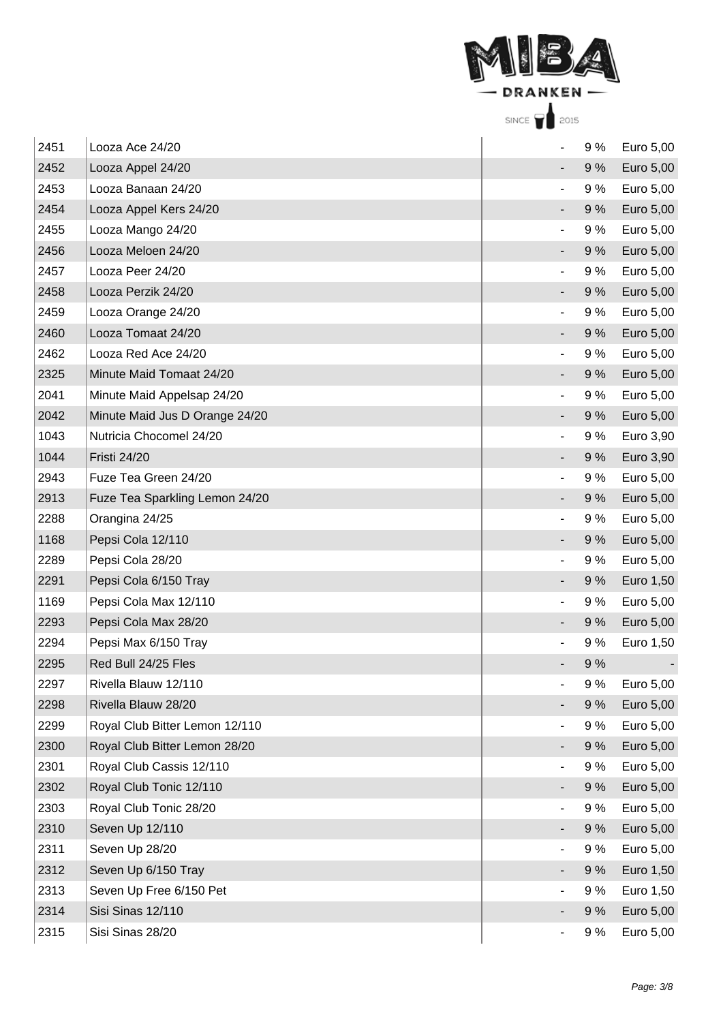

| 2451 | Looza Ace 24/20                |    | 9%  | Euro 5,00 |
|------|--------------------------------|----|-----|-----------|
| 2452 | Looza Appel 24/20              |    | 9%  | Euro 5,00 |
| 2453 | Looza Banaan 24/20             |    | 9%  | Euro 5,00 |
| 2454 | Looza Appel Kers 24/20         |    | 9%  | Euro 5,00 |
| 2455 | Looza Mango 24/20              |    | 9%  | Euro 5,00 |
| 2456 | Looza Meloen 24/20             |    | 9%  | Euro 5,00 |
| 2457 | Looza Peer 24/20               |    | 9%  | Euro 5,00 |
| 2458 | Looza Perzik 24/20             |    | 9%  | Euro 5,00 |
| 2459 | Looza Orange 24/20             |    | 9%  | Euro 5,00 |
| 2460 | Looza Tomaat 24/20             |    | 9%  | Euro 5,00 |
| 2462 | Looza Red Ace 24/20            |    | 9%  | Euro 5,00 |
| 2325 | Minute Maid Tomaat 24/20       |    | 9%  | Euro 5,00 |
| 2041 | Minute Maid Appelsap 24/20     | ۰  | 9%  | Euro 5,00 |
| 2042 | Minute Maid Jus D Orange 24/20 |    | 9%  | Euro 5,00 |
| 1043 | Nutricia Chocomel 24/20        |    | 9 % | Euro 3,90 |
| 1044 | <b>Fristi 24/20</b>            |    | 9%  | Euro 3,90 |
| 2943 | Fuze Tea Green 24/20           |    | 9 % | Euro 5,00 |
| 2913 | Fuze Tea Sparkling Lemon 24/20 |    | 9%  | Euro 5,00 |
| 2288 | Orangina 24/25                 | Ξ. | 9%  | Euro 5,00 |
| 1168 | Pepsi Cola 12/110              |    | 9%  | Euro 5,00 |
| 2289 | Pepsi Cola 28/20               |    | 9%  | Euro 5,00 |
| 2291 | Pepsi Cola 6/150 Tray          |    | 9%  | Euro 1,50 |
| 1169 | Pepsi Cola Max 12/110          |    | 9%  | Euro 5,00 |
| 2293 | Pepsi Cola Max 28/20           |    | 9%  | Euro 5,00 |
| 2294 | Pepsi Max 6/150 Tray           |    | 9%  | Euro 1,50 |
| 2295 | Red Bull 24/25 Fles            |    | 9%  |           |
| 2297 | Rivella Blauw 12/110           |    | 9%  | Euro 5,00 |
| 2298 | Rivella Blauw 28/20            |    | 9%  | Euro 5,00 |
| 2299 | Royal Club Bitter Lemon 12/110 |    | 9 % | Euro 5,00 |
| 2300 | Royal Club Bitter Lemon 28/20  |    | 9%  | Euro 5,00 |
| 2301 | Royal Club Cassis 12/110       | ۰  | 9%  | Euro 5,00 |
| 2302 | Royal Club Tonic 12/110        |    | 9%  | Euro 5,00 |
| 2303 | Royal Club Tonic 28/20         |    | 9 % | Euro 5,00 |
| 2310 | Seven Up 12/110                |    | 9%  | Euro 5,00 |
| 2311 | Seven Up 28/20                 |    | 9 % | Euro 5,00 |
| 2312 | Seven Up 6/150 Tray            |    | 9%  | Euro 1,50 |
| 2313 | Seven Up Free 6/150 Pet        |    | 9%  | Euro 1,50 |
| 2314 | Sisi Sinas 12/110              |    | 9%  | Euro 5,00 |
| 2315 | Sisi Sinas 28/20               |    | 9%  | Euro 5,00 |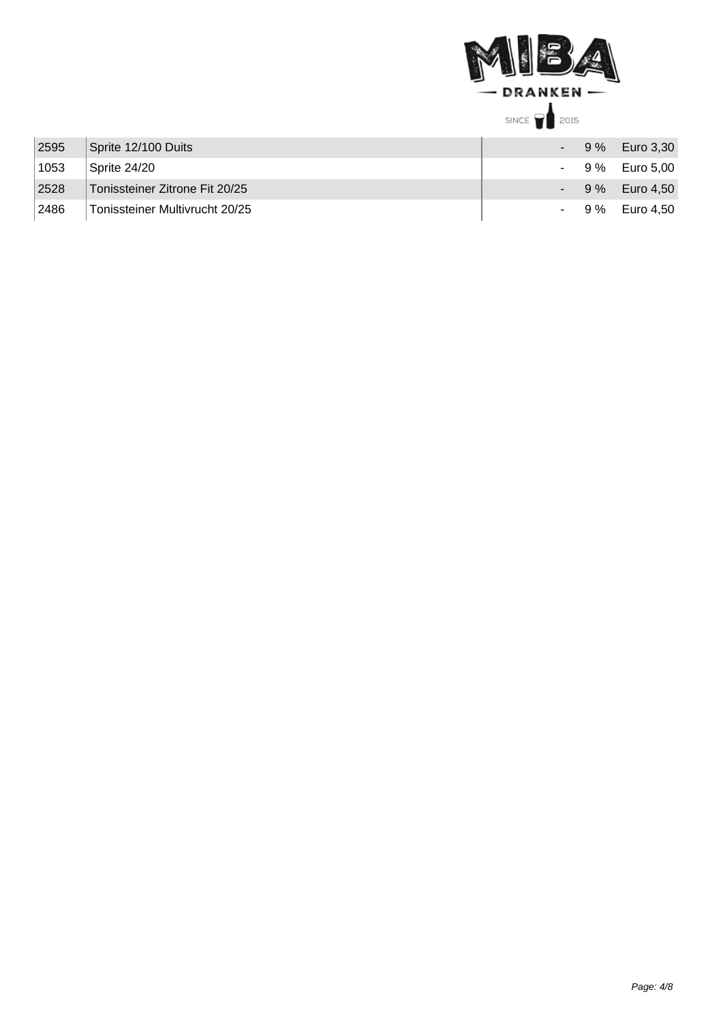

| 2595 | Sprite 12/100 Duits            |  | $-9\%$ Euro 3,30 |
|------|--------------------------------|--|------------------|
| 1053 | Sprite 24/20                   |  | $-9\%$ Euro 5.00 |
| 2528 | Tonissteiner Zitrone Fit 20/25 |  | $-9\%$ Euro 4.50 |
| 2486 | Tonissteiner Multivrucht 20/25 |  | $-9\%$ Euro 4.50 |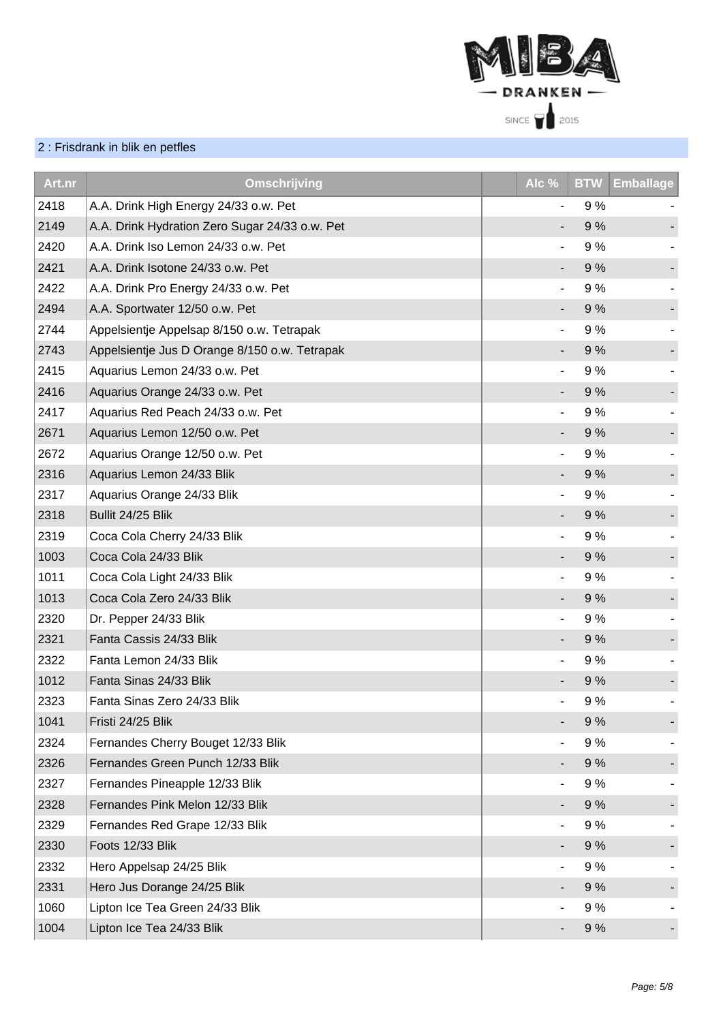

## 2 : Frisdrank in blik en petfles

| Art.nr | Omschrijving                                   | Alc %          | <b>BTW</b> | <b>Emballage</b> |
|--------|------------------------------------------------|----------------|------------|------------------|
| 2418   | A.A. Drink High Energy 24/33 o.w. Pet          | $\blacksquare$ | 9%         |                  |
| 2149   | A.A. Drink Hydration Zero Sugar 24/33 o.w. Pet |                | 9%         |                  |
| 2420   | A.A. Drink Iso Lemon 24/33 o.w. Pet            |                | 9%         |                  |
| 2421   | A.A. Drink Isotone 24/33 o.w. Pet              |                | 9%         |                  |
| 2422   | A.A. Drink Pro Energy 24/33 o.w. Pet           |                | 9%         |                  |
| 2494   | A.A. Sportwater 12/50 o.w. Pet                 |                | 9%         |                  |
| 2744   | Appelsientje Appelsap 8/150 o.w. Tetrapak      |                | 9%         |                  |
| 2743   | Appelsientje Jus D Orange 8/150 o.w. Tetrapak  |                | 9%         |                  |
| 2415   | Aquarius Lemon 24/33 o.w. Pet                  |                | 9%         |                  |
| 2416   | Aquarius Orange 24/33 o.w. Pet                 |                | 9%         |                  |
| 2417   | Aquarius Red Peach 24/33 o.w. Pet              | $\blacksquare$ | 9%         |                  |
| 2671   | Aquarius Lemon 12/50 o.w. Pet                  | ۰.             | 9%         |                  |
| 2672   | Aquarius Orange 12/50 o.w. Pet                 |                | 9%         |                  |
| 2316   | Aquarius Lemon 24/33 Blik                      |                | 9%         |                  |
| 2317   | Aquarius Orange 24/33 Blik                     | ٠              | 9%         |                  |
| 2318   | Bullit 24/25 Blik                              |                | 9%         |                  |
| 2319   | Coca Cola Cherry 24/33 Blik                    |                | 9%         |                  |
| 1003   | Coca Cola 24/33 Blik                           | -              | 9%         |                  |
| 1011   | Coca Cola Light 24/33 Blik                     |                | 9%         |                  |
| 1013   | Coca Cola Zero 24/33 Blik                      |                | 9%         |                  |
| 2320   | Dr. Pepper 24/33 Blik                          | $\blacksquare$ | 9%         |                  |
| 2321   | Fanta Cassis 24/33 Blik                        |                | 9%         |                  |
| 2322   | Fanta Lemon 24/33 Blik                         |                | 9 %        |                  |
| 1012   | Fanta Sinas 24/33 Blik                         |                | 9%         |                  |
| 2323   | Fanta Sinas Zero 24/33 Blik                    |                | 9%         |                  |
| 1041   | Fristi 24/25 Blik                              |                | 9%         |                  |
| 2324   | Fernandes Cherry Bouget 12/33 Blik             |                | 9%         |                  |
| 2326   | Fernandes Green Punch 12/33 Blik               |                | 9%         |                  |
| 2327   | Fernandes Pineapple 12/33 Blik                 |                | 9%         |                  |
| 2328   | Fernandes Pink Melon 12/33 Blik                |                | 9%         |                  |
| 2329   | Fernandes Red Grape 12/33 Blik                 |                | 9%         |                  |
| 2330   | Foots 12/33 Blik                               |                | 9%         |                  |
| 2332   | Hero Appelsap 24/25 Blik                       |                | 9%         |                  |
| 2331   | Hero Jus Dorange 24/25 Blik                    |                | 9%         |                  |
| 1060   | Lipton Ice Tea Green 24/33 Blik                |                | 9%         |                  |
| 1004   | Lipton Ice Tea 24/33 Blik                      |                | 9%         |                  |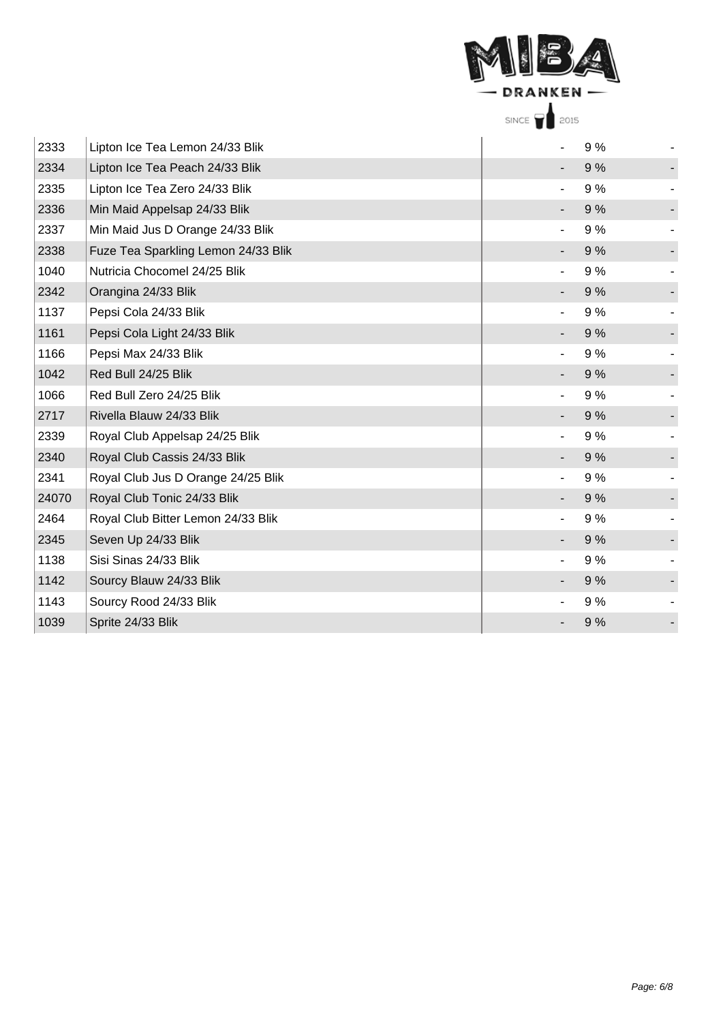|       | DRANKEN                             |                 |    |  |
|-------|-------------------------------------|-----------------|----|--|
|       |                                     | SINCE 1<br>2015 |    |  |
| 2333  | Lipton Ice Tea Lemon 24/33 Blik     |                 | 9% |  |
| 2334  | Lipton Ice Tea Peach 24/33 Blik     |                 | 9% |  |
| 2335  | Lipton Ice Tea Zero 24/33 Blik      |                 | 9% |  |
| 2336  | Min Maid Appelsap 24/33 Blik        |                 | 9% |  |
| 2337  | Min Maid Jus D Orange 24/33 Blik    |                 | 9% |  |
| 2338  | Fuze Tea Sparkling Lemon 24/33 Blik |                 | 9% |  |
| 1040  | Nutricia Chocomel 24/25 Blik        |                 | 9% |  |
| 2342  | Orangina 24/33 Blik                 |                 | 9% |  |
| 1137  | Pepsi Cola 24/33 Blik               |                 | 9% |  |
| 1161  | Pepsi Cola Light 24/33 Blik         |                 | 9% |  |
| 1166  | Pepsi Max 24/33 Blik                |                 | 9% |  |
| 1042  | Red Bull 24/25 Blik                 |                 | 9% |  |
| 1066  | Red Bull Zero 24/25 Blik            |                 | 9% |  |
| 2717  | Rivella Blauw 24/33 Blik            |                 | 9% |  |
| 2339  | Royal Club Appelsap 24/25 Blik      |                 | 9% |  |
| 2340  | Royal Club Cassis 24/33 Blik        |                 | 9% |  |
| 2341  | Royal Club Jus D Orange 24/25 Blik  |                 | 9% |  |
| 24070 | Royal Club Tonic 24/33 Blik         |                 | 9% |  |
| 2464  | Royal Club Bitter Lemon 24/33 Blik  |                 | 9% |  |
| 2345  | Seven Up 24/33 Blik                 |                 | 9% |  |
| 1138  | Sisi Sinas 24/33 Blik               |                 | 9% |  |
| 1142  | Sourcy Blauw 24/33 Blik             |                 | 9% |  |
| 1143  | Sourcy Rood 24/33 Blik              |                 | 9% |  |
| 1039  | Sprite 24/33 Blik                   |                 | 9% |  |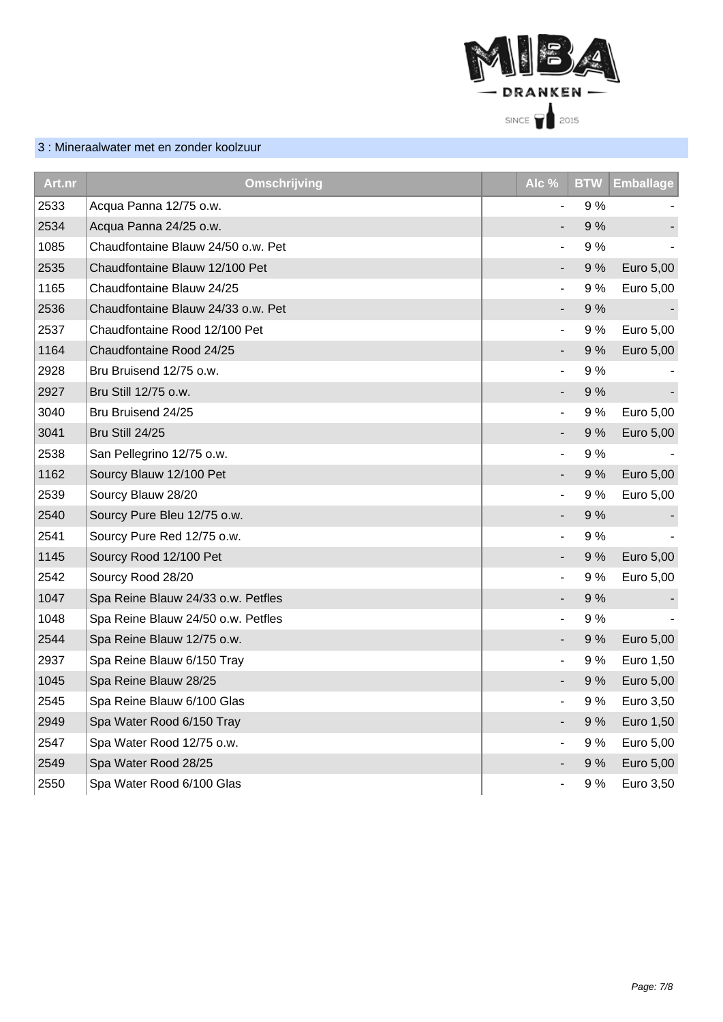

## 3 : Mineraalwater met en zonder koolzuur

| Art.nr | Omschrijving                       | Alc %                        | <b>BTW</b> | <b>Emballage</b> |
|--------|------------------------------------|------------------------------|------------|------------------|
| 2533   | Acqua Panna 12/75 o.w.             |                              | 9%         |                  |
| 2534   | Acqua Panna 24/25 o.w.             |                              | 9%         |                  |
| 1085   | Chaudfontaine Blauw 24/50 o.w. Pet |                              | 9%         |                  |
| 2535   | Chaudfontaine Blauw 12/100 Pet     |                              | 9%         | Euro 5,00        |
| 1165   | Chaudfontaine Blauw 24/25          | $\overline{\phantom{0}}$     | 9%         | Euro 5,00        |
| 2536   | Chaudfontaine Blauw 24/33 o.w. Pet |                              | 9%         |                  |
| 2537   | Chaudfontaine Rood 12/100 Pet      |                              | 9%         | Euro 5,00        |
| 1164   | Chaudfontaine Rood 24/25           |                              | 9%         | Euro 5,00        |
| 2928   | Bru Bruisend 12/75 o.w.            | $\qquad \qquad \blacksquare$ | 9%         |                  |
| 2927   | Bru Still 12/75 o.w.               |                              | 9%         |                  |
| 3040   | Bru Bruisend 24/25                 |                              | 9%         | Euro 5,00        |
| 3041   | Bru Still 24/25                    |                              | 9%         | Euro 5,00        |
| 2538   | San Pellegrino 12/75 o.w.          |                              | 9%         |                  |
| 1162   | Sourcy Blauw 12/100 Pet            |                              | 9%         | Euro 5,00        |
| 2539   | Sourcy Blauw 28/20                 |                              | 9%         | Euro 5,00        |
| 2540   | Sourcy Pure Bleu 12/75 o.w.        |                              | 9%         |                  |
| 2541   | Sourcy Pure Red 12/75 o.w.         | $\overline{\phantom{a}}$     | 9%         |                  |
| 1145   | Sourcy Rood 12/100 Pet             | ÷,                           | 9%         | Euro 5,00        |
| 2542   | Sourcy Rood 28/20                  |                              | 9 %        | Euro 5,00        |
| 1047   | Spa Reine Blauw 24/33 o.w. Petfles |                              | 9%         |                  |
| 1048   | Spa Reine Blauw 24/50 o.w. Petfles | $\overline{\phantom{0}}$     | 9 %        |                  |
| 2544   | Spa Reine Blauw 12/75 o.w.         | $\qquad \qquad \blacksquare$ | 9%         | Euro 5,00        |
| 2937   | Spa Reine Blauw 6/150 Tray         | $\overline{\phantom{a}}$     | 9%         | Euro 1,50        |
| 1045   | Spa Reine Blauw 28/25              |                              | 9%         | Euro 5,00        |
| 2545   | Spa Reine Blauw 6/100 Glas         |                              | 9%         | Euro 3,50        |
| 2949   | Spa Water Rood 6/150 Tray          |                              | 9%         | Euro 1,50        |
| 2547   | Spa Water Rood 12/75 o.w.          | $\blacksquare$               | 9%         | Euro 5,00        |
| 2549   | Spa Water Rood 28/25               |                              | 9%         | Euro 5,00        |
| 2550   | Spa Water Rood 6/100 Glas          | $\qquad \qquad \blacksquare$ | 9%         | Euro 3,50        |